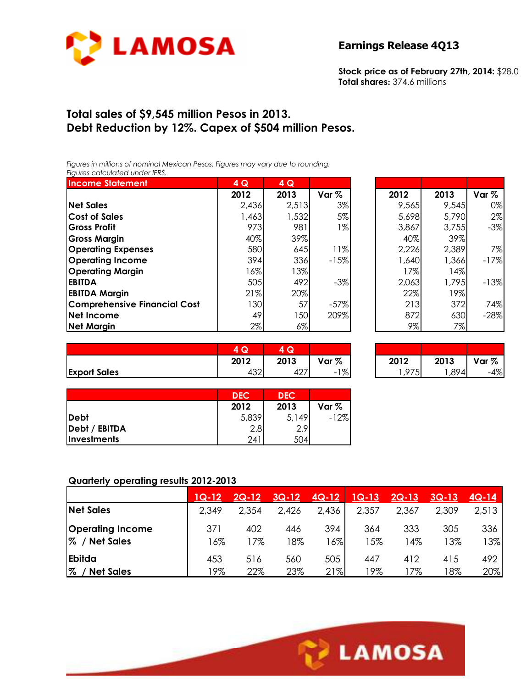

**Stock price as of February 27th, 2014:** \$28.0 **Total shares:** 374.6 millions

#### **Total sales of \$9,545 million Pesos in 2013. Debt Reduction by 12%. Capex of \$504 million Pesos.**

*Figures in millions of nominal Mexican Pesos. Figures may vary due to rounding. Figures calculated under IFRS.* 

| <b>Income Statement</b>             | 4 Q    | 4Q     |         |       |       |         |
|-------------------------------------|--------|--------|---------|-------|-------|---------|
|                                     | 2012   | 2013   | Var $%$ | 2012  | 2013  | Var $%$ |
| <b>Net Sales</b>                    | 2,436  | 2,513  | $3\%$   | 9,565 | 9,545 | 0%      |
| <b>Cost of Sales</b>                | 1,463  | 1,532  | 5%      | 5,698 | 5,790 | 2%      |
| <b>Gross Profit</b>                 | 973    | 981    | $1\%$   | 3,867 | 3,755 | $-3%$   |
| <b>Gross Margin</b>                 | 40%    | 39%    |         | 40%   | 39%   |         |
| <b>Operating Expenses</b>           | 580    | 645    | 11%     | 2,226 | 2,389 | 7%      |
| <b>Operating Income</b>             | 394    | 336    | $-15%$  | 1,640 | 1,366 | $-17%$  |
| <b>Operating Margin</b>             | $16\%$ | $13\%$ |         | 17%   | 14%   |         |
| <b>EBITDA</b>                       | 505    | 492    | $-3\%$  | 2,063 | 1,795 | $-13%$  |
| <b>EBITDA Margin</b>                | 21%    | 20%    |         | 22%   | 19%   |         |
| <b>Comprehensive Financial Cost</b> | 1301   | 57     | $-57%$  | 213   | 372   | 74%     |
| Net Income                          | 49     | 150    | 209%    | 872   | 630   | $-28%$  |
| <b>Net Margin</b>                   | $2\%$  | 6%     |         | 9%    | 7%    |         |

| 4Q    | 4 Q   |                  |       |       |        |
|-------|-------|------------------|-------|-------|--------|
| 2012  | 2013  | Var <sub>%</sub> | 2012  | 2013  | Var %  |
| 2,436 | 2,513 | 3%               | 9,565 | 9,545 | 0%     |
| 1,463 | 1,532 | 5%               | 5,698 | 5,790 | 2%     |
| 973   | 981   | $1\%$            | 3,867 | 3,755 | $-3%$  |
| 40%   | 39%   |                  | 40%   | 39%   |        |
| 580   | 645   | 11%              | 2,226 | 2,389 | 7%     |
| 394   | 336   | $-15%$           | 1,640 | 1,366 | $-17%$ |
| 16%   | 13%   |                  | 17%   | 14%   |        |
| 505   | 492   | $-3%$            | 2,063 | 1,795 | $-13%$ |
| 21%   | 20%   |                  | 22%   | 19%   |        |
| 130   | 57    | $-57%$           | 213   | 372   | 74%    |
| 49    | 150   | 209%             | 872   | 630   | $-28%$ |
| $2\%$ | $6\%$ |                  | 9%    | 7%    |        |

|                     | u              | $\overline{\phantom{a}}$<br>Q |                                   |                |            |       |
|---------------------|----------------|-------------------------------|-----------------------------------|----------------|------------|-------|
|                     | 2012           | 2013                          | Var %                             | 2012           | 2013       | Var % |
| <b>Export Sales</b> | $\sim$<br>40Z. | דהי<br>42,                    | $1\%$<br>$\overline{\phantom{0}}$ | 975<br>$\cdot$ | 894<br>,∪7 | $-4%$ |

| Δ<br>w       | S.   |              |        |      |       |
|--------------|------|--------------|--------|------|-------|
| 2012         | 2013 | Var %        | 2012   | 2013 | Var % |
| 1201<br>⊶∪∠. | +21  | $1\%$<br>- 1 | 5<br>O | ,894 | $-4%$ |

|                                  | <b>DEC</b> | <b>DEC</b> |        |
|----------------------------------|------------|------------|--------|
|                                  | 2012       | 2013       | Var %  |
| <b>Debt</b>                      | 5,839      | 5,149      | $-12%$ |
| Debt / EBITDA                    | 2.8        | 2.9        |        |
| <i><u><b>Investments</b></u></i> | 241        | 504        |        |

#### **Quarterly operating results 2012-2013**

|                            | $1Q-12$ | $2Q-12$ | $3Q-12$ | $4Q-12$ | $1Q-13$ | <u>2Q-13</u> | $3Q-13$ | <u>4Q-14</u> |
|----------------------------|---------|---------|---------|---------|---------|--------------|---------|--------------|
| <b>Net Sales</b>           | 2,349   | 2,354   | 2,426   | 2,436   | 2,357   | 2,367        | 2,309   | 2,513        |
| <b>Operating Income</b>    | 371     | 402     | 446     | 394     | 364     | 333          | 305     | 336          |
| % / Net Sales              | $6\%$   | 17%     | 18%     | $6\%$   | 15%     | 14%          | 13%     | 13%          |
| <b>Ebitda</b>              | 453     | 516     | 560     | 505     | 447     | 412          | 415     | 492          |
| $\%$ /<br><b>Net Sales</b> | '9%     | 22%     | 23%     | 21%     | 19%     | 7%           | 18%     | 20%          |

Ī

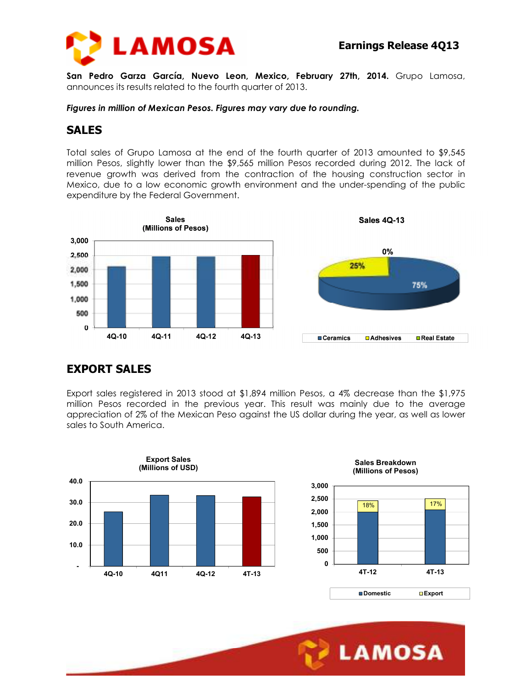

**San Pedro Garza García, Nuevo Leon, Mexico, February 27th, 2014.** Grupo Lamosa, announces its results related to the fourth quarter of 2013.

*Figures in million of Mexican Pesos. Figures may vary due to rounding.* 

### **SALES**

Total sales of Grupo Lamosa at the end of the fourth quarter of 2013 amounted to \$9,545 million Pesos, slightly lower than the \$9,565 million Pesos recorded during 2012. The lack of revenue growth was derived from the contraction of the housing construction sector in Mexico, due to a low economic growth environment and the under-spending of the public expenditure by the Federal Government.



## **EXPORT SALES**

Export sales registered in 2013 stood at \$1,894 million Pesos, a 4% decrease than the \$1,975 million Pesos recorded in the previous year. This result was mainly due to the average appreciation of 2% of the Mexican Peso against the US dollar during the year, as well as lower sales to South America.

Ī







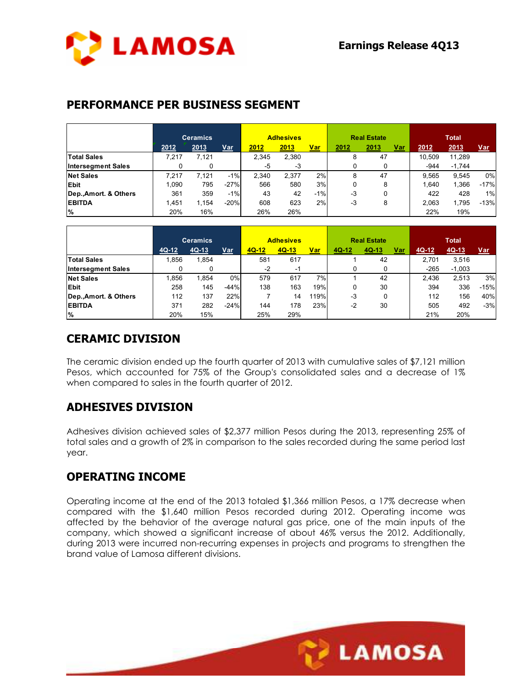

# **PERFORMANCE PER BUSINESS SEGMENT**

|                           | <b>Ceramics</b> |       |        | <b>Adhesives</b> |       |       |      | <b>Real Estate</b> |     | <b>Total</b> |          |            |  |
|---------------------------|-----------------|-------|--------|------------------|-------|-------|------|--------------------|-----|--------------|----------|------------|--|
|                           | 2012            | 2013  | Var    | 2012             | 2013  | Var   | 2012 | 2013               | Var | 2012         | 2013     | <u>Var</u> |  |
| <b>Total Sales</b>        | 7.217           | 7.121 |        | 2.345            | 2.380 |       | 8    | 47                 |     | 10.509       | 11.289   |            |  |
| <b>Intersegment Sales</b> |                 |       |        | -5               | -3    |       |      |                    |     | $-944$       | $-1.744$ |            |  |
| <b>Net Sales</b>          | 7.217           | 7.121 | $-1%$  | 2.340            | 2.377 | 2%    | 8    | 47                 |     | 9.565        | 9.545    | 0%         |  |
| <b>Ebit</b>               | 1.090           | 795   | $-27%$ | 566              | 580   | 3%    | 0    | 8                  |     | 1.640        | 1.366    | $-17%$     |  |
| Dep., Amort. & Others     | 361             | 359   | $-1%$  | 43               | 42    | $-1%$ | -3   |                    |     | 422          | 428      | 1%         |  |
| <b>EBITDA</b>             | 1.451           | 1,154 | $-20%$ | 608              | 623   | 2%    | -3   | 8                  |     | 2.063        | 1.795    | $-13%$     |  |
| $\%$                      | 20%             | 16%   |        | 26%              | 26%   |       |      |                    |     | 22%          | 19%      |            |  |

|                           | <b>Ceramics</b> |         |        | <b>Adhesives</b> |         |      | <b>Real Estate</b> |         |     | <b>Total</b> |          |            |  |
|---------------------------|-----------------|---------|--------|------------------|---------|------|--------------------|---------|-----|--------------|----------|------------|--|
|                           | $4Q-12$         | $4Q-13$ | Var    | $4Q-12$          | $4Q-13$ | Var  | 4Q-12              | $4Q-13$ | Var | $4Q-12$      | $4Q-13$  | <u>Var</u> |  |
| <b>Total Sales</b>        | 1,856           | 1,854   |        | 581              | 617     |      |                    | 42      |     | 2.701        | 3,516    |            |  |
| <b>Intersegment Sales</b> |                 |         |        | $-2$             | -1      |      |                    |         |     | $-265$       | $-1,003$ |            |  |
| <b>Net Sales</b>          | 1.856           | 1.854   | 0%     | 579              | 617     | 7%   |                    | 42      |     | 2.436        | 2,513    | 3%         |  |
| Ebit                      | 258             | 145     | $-44%$ | 138              | 163     | 19%  | 0                  | 30      |     | 394          | 336      | $-15%$     |  |
| Dep., Amort. & Others     | 112             | 137     | 22%    |                  | 14      | 119% | -3                 |         |     | 112          | 156      | 40%        |  |
| <b>EBITDA</b>             | 371             | 282     | $-24%$ | 144              | 178     | 23%  | $-2$               | 30      |     | 505          | 492      | $-3%$      |  |
| <b>%</b>                  | 20%             | 15%     |        | 25%              | 29%     |      |                    |         |     | 21%          | 20%      |            |  |

#### **CERAMIC DIVISION**

The ceramic division ended up the fourth quarter of 2013 with cumulative sales of \$7,121 million Pesos, which accounted for 75% of the Group's consolidated sales and a decrease of 1% when compared to sales in the fourth quarter of 2012.

## **ADHESIVES DIVISION**

Adhesives division achieved sales of \$2,377 million Pesos during the 2013, representing 25% of total sales and a growth of 2% in comparison to the sales recorded during the same period last year.

## **OPERATING INCOME**

Operating income at the end of the 2013 totaled \$1,366 million Pesos, a 17% decrease when compared with the \$1,640 million Pesos recorded during 2012. Operating income was affected by the behavior of the average natural gas price, one of the main inputs of the company, which showed a significant increase of about 46% versus the 2012. Additionally, during 2013 were incurred non-recurring expenses in projects and programs to strengthen the brand value of Lamosa different divisions.

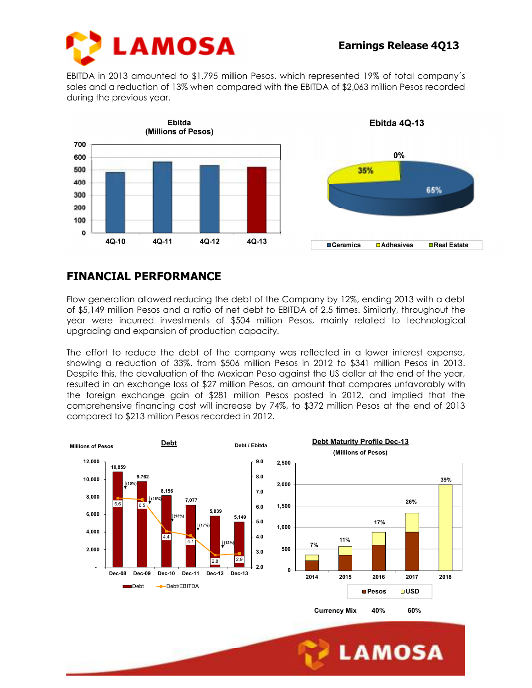

EBITDA in 2013 amounted to \$1,795 million Pesos, which represented 19% of total company´s sales and a reduction of 13% when compared with the EBITDA of \$2,063 million Pesos recorded during the previous year.



## **FINANCIAL PERFORMANCE**

Flow generation allowed reducing the debt of the Company by 12%, ending 2013 with a debt of \$5,149 million Pesos and a ratio of net debt to EBITDA of 2.5 times. Similarly, throughout the year were incurred investments of \$504 million Pesos, mainly related to technological upgrading and expansion of production capacity.

The effort to reduce the debt of the company was reflected in a lower interest expense, showing a reduction of 33%, from \$506 million Pesos in 2012 to \$341 million Pesos in 2013. Despite this, the devaluation of the Mexican Peso against the US dollar at the end of the year, resulted in an exchange loss of \$27 million Pesos, an amount that compares unfavorably with the foreign exchange gain of \$281 million Pesos posted in 2012, and implied that the comprehensive financing cost will increase by 74%, to \$372 million Pesos at the end of 2013 compared to \$213 million Pesos recorded in 2012.



Ī